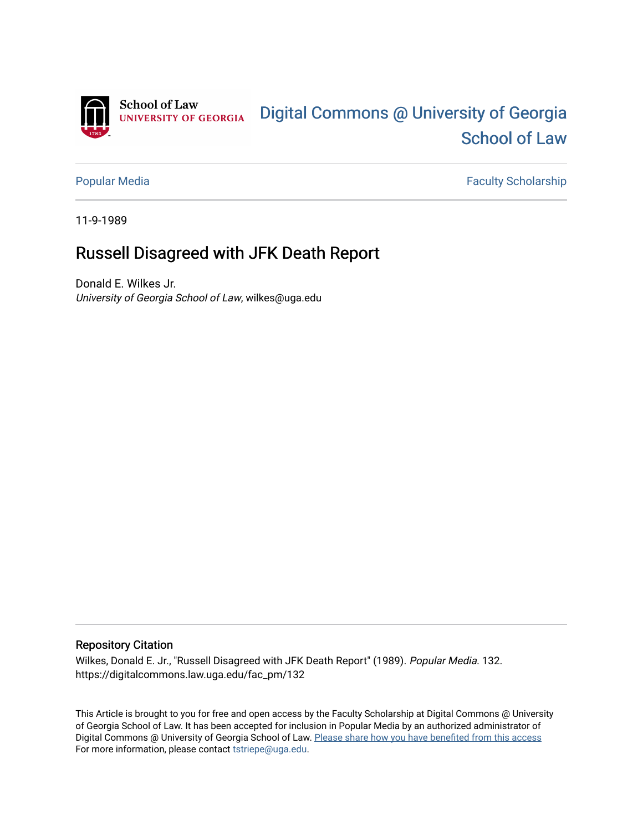

[Popular Media](https://digitalcommons.law.uga.edu/fac_pm) **Faculty Scholarship** Faculty Scholarship

11-9-1989

## Russell Disagreed with JFK Death Report

Donald E. Wilkes Jr. University of Georgia School of Law, wilkes@uga.edu

## Repository Citation

Wilkes, Donald E. Jr., "Russell Disagreed with JFK Death Report" (1989). Popular Media. 132. https://digitalcommons.law.uga.edu/fac\_pm/132

This Article is brought to you for free and open access by the Faculty Scholarship at Digital Commons @ University of Georgia School of Law. It has been accepted for inclusion in Popular Media by an authorized administrator of Digital Commons @ University of Georgia School of Law. Please share how you have benefited from this access For more information, please contact [tstriepe@uga.edu](mailto:tstriepe@uga.edu).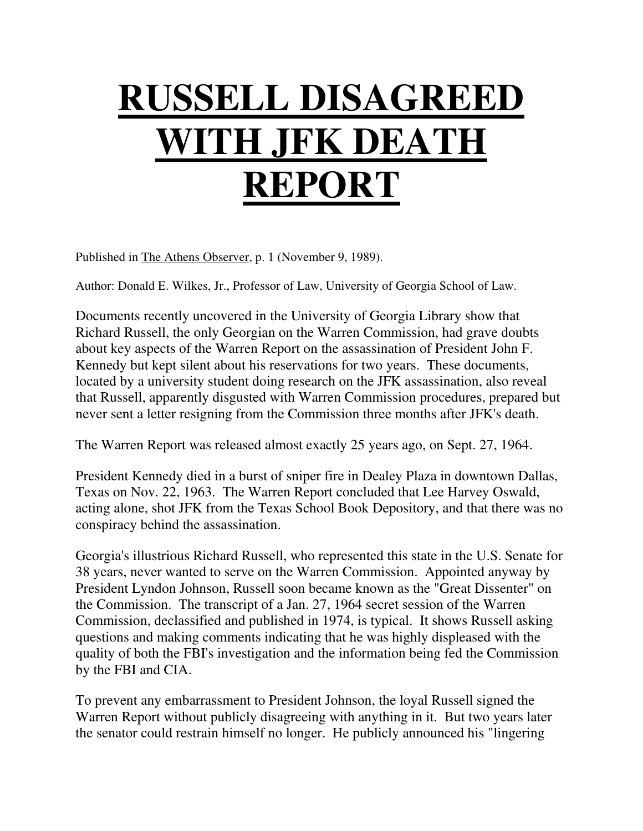## **RUSSELL DISAGREED WITH JFK DEATH REPORT**

Published in The Athens Observer, p. 1 (November 9, 1989).

Author: Donald E. Wilkes, Jr., Professor of Law, University of Georgia School of Law.

Documents recently uncovered in the University of Georgia Library show that Richard Russell, the only Georgian on the Warren Commission, had grave doubts about key aspects of the Warren Report on the assassination of President John F. Kennedy but kept silent about his reservations for two years. These documents, located by a university student doing research on the JFK assassination, also reveal that Russell, apparently disgusted with Warren Commission procedures, prepared but never sent a letter resigning from the Commission three months after JFK's death.

The Warren Report was released almost exactly 25 years ago, on Sept. 27, 1964.

President Kennedy died in a burst of sniper fire in Dealey Plaza in downtown Dallas, Texas on Nov. 22, 1963. The Warren Report concluded that Lee Harvey Oswald, acting alone, shot JFK from the Texas School Book Depository, and that there was no conspiracy behind the assassination.

Georgia's illustrious Richard Russell, who represented this state in the U.S. Senate for 38 years, never wanted to serve on the Warren Commission. Appointed anyway by President Lyndon Johnson, Russell soon became known as the "Great Dissenter" on the Commission. The transcript of a Jan. 27, 1964 secret session of the Warren Commission, declassified and published in 1974, is typical. It shows Russell asking questions and making comments indicating that he was highly displeased with the quality of both the FBI's investigation and the information being fed the Commission by the FBI and CIA.

To prevent any embarrassment to President Johnson, the loyal Russell signed the Warren Report without publicly disagreeing with anything in it. But two years later the senator could restrain himself no longer. He publicly announced his "lingering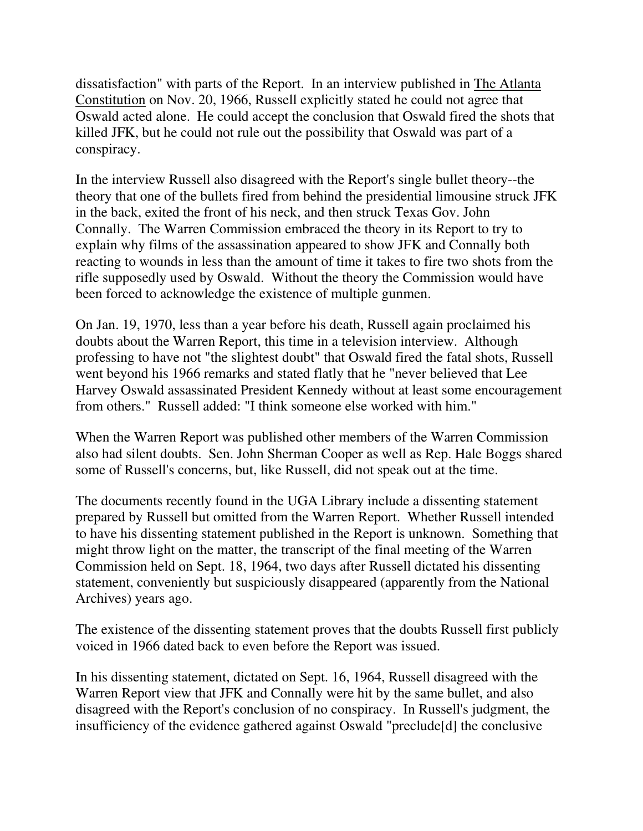dissatisfaction" with parts of the Report. In an interview published in The Atlanta Constitution on Nov. 20, 1966, Russell explicitly stated he could not agree that Oswald acted alone. He could accept the conclusion that Oswald fired the shots that killed JFK, but he could not rule out the possibility that Oswald was part of a conspiracy.

In the interview Russell also disagreed with the Report's single bullet theory--the theory that one of the bullets fired from behind the presidential limousine struck JFK in the back, exited the front of his neck, and then struck Texas Gov. John Connally. The Warren Commission embraced the theory in its Report to try to explain why films of the assassination appeared to show JFK and Connally both reacting to wounds in less than the amount of time it takes to fire two shots from the rifle supposedly used by Oswald. Without the theory the Commission would have been forced to acknowledge the existence of multiple gunmen.

On Jan. 19, 1970, less than a year before his death, Russell again proclaimed his doubts about the Warren Report, this time in a television interview. Although professing to have not "the slightest doubt" that Oswald fired the fatal shots, Russell went beyond his 1966 remarks and stated flatly that he "never believed that Lee Harvey Oswald assassinated President Kennedy without at least some encouragement from others." Russell added: "I think someone else worked with him."

When the Warren Report was published other members of the Warren Commission also had silent doubts. Sen. John Sherman Cooper as well as Rep. Hale Boggs shared some of Russell's concerns, but, like Russell, did not speak out at the time.

The documents recently found in the UGA Library include a dissenting statement prepared by Russell but omitted from the Warren Report. Whether Russell intended to have his dissenting statement published in the Report is unknown. Something that might throw light on the matter, the transcript of the final meeting of the Warren Commission held on Sept. 18, 1964, two days after Russell dictated his dissenting statement, conveniently but suspiciously disappeared (apparently from the National Archives) years ago.

The existence of the dissenting statement proves that the doubts Russell first publicly voiced in 1966 dated back to even before the Report was issued.

In his dissenting statement, dictated on Sept. 16, 1964, Russell disagreed with the Warren Report view that JFK and Connally were hit by the same bullet, and also disagreed with the Report's conclusion of no conspiracy. In Russell's judgment, the insufficiency of the evidence gathered against Oswald "preclude[d] the conclusive